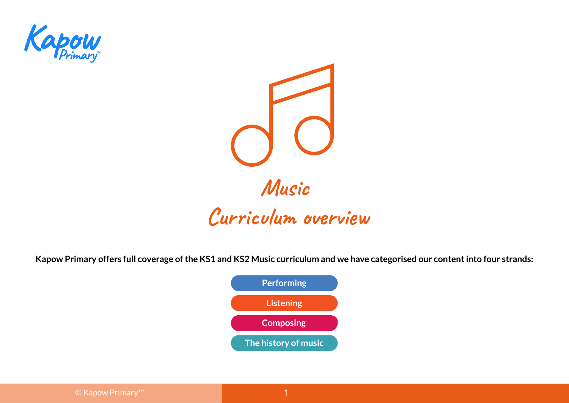



**Kapow Primary offers full coverage of the KS1 and KS2 Music curriculum and we have categorised our content into four strands:**

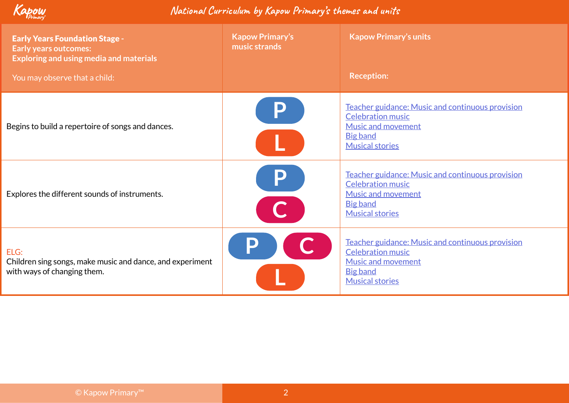

| <b>Early Years Foundation Stage -</b><br><b>Early years outcomes:</b><br>Exploring and using media and materials<br>You may observe that a child: | <b>Kapow Primary's</b><br>music strands | <b>Kapow Primary's units</b><br><b>Reception:</b>                                                                                                      |
|---------------------------------------------------------------------------------------------------------------------------------------------------|-----------------------------------------|--------------------------------------------------------------------------------------------------------------------------------------------------------|
| Begins to build a repertoire of songs and dances.                                                                                                 | P                                       | Teacher guidance: Music and continuous provision<br><b>Celebration music</b><br><b>Music and movement</b><br><b>Big band</b><br><b>Musical stories</b> |
| Explores the different sounds of instruments.                                                                                                     | P                                       | Teacher guidance: Music and continuous provision<br><b>Celebration music</b><br><b>Music and movement</b><br><b>Big band</b><br><b>Musical stories</b> |
| ELG:<br>Children sing songs, make music and dance, and experiment<br>with ways of changing them.                                                  |                                         | Teacher guidance: Music and continuous provision<br><b>Celebration music</b><br><b>Music and movement</b><br><b>Big band</b><br><b>Musical stories</b> |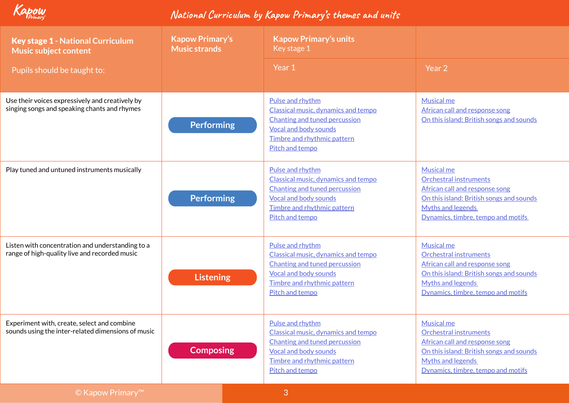

| <b>Key stage 1 - National Curriculum</b><br><b>Music subject content</b>                          | <b>Kapow Primary's</b><br><b>Music strands</b> | <b>Kapow Primary's units</b><br>Key stage 1                                                                                                                                       |                                                                                                                                                                                                    |
|---------------------------------------------------------------------------------------------------|------------------------------------------------|-----------------------------------------------------------------------------------------------------------------------------------------------------------------------------------|----------------------------------------------------------------------------------------------------------------------------------------------------------------------------------------------------|
| Pupils should be taught to:                                                                       |                                                | Year 1                                                                                                                                                                            | Year 2                                                                                                                                                                                             |
| Use their voices expressively and creatively by<br>singing songs and speaking chants and rhymes   | <b>Performing</b>                              | Pulse and rhythm<br>Classical music, dynamics and tempo<br><b>Chanting and tuned percussion</b><br>Vocal and body sounds<br>Timbre and rhythmic pattern<br>Pitch and tempo        | <b>Musical me</b><br>African call and response song<br>On this island: British songs and sounds                                                                                                    |
| Play tuned and untuned instruments musically                                                      | <b>Performing</b>                              | Pulse and rhythm<br>Classical music, dynamics and tempo<br><b>Chanting and tuned percussion</b><br><b>Vocal and body sounds</b><br>Timbre and rhythmic pattern<br>Pitch and tempo | <b>Musical me</b><br><b>Orchestral instruments</b><br>African call and response song<br>On this island: British songs and sounds<br><b>Myths and legends</b><br>Dynamics, timbre, tempo and motifs |
| Listen with concentration and understanding to a<br>range of high-quality live and recorded music | <b>Listening</b>                               | Pulse and rhythm<br>Classical music, dynamics and tempo<br>Chanting and tuned percussion<br><b>Vocal and body sounds</b><br>Timbre and rhythmic pattern<br>Pitch and tempo        | <b>Musical me</b><br>Orchestral instruments<br>African call and response song<br>On this island: British songs and sounds<br><b>Myths and legends</b><br>Dynamics, timbre, tempo and motifs        |
| Experiment with, create, select and combine<br>sounds using the inter-related dimensions of music | <b>Composing</b>                               | Pulse and rhythm<br>Classical music, dynamics and tempo<br>Chanting and tuned percussion<br><b>Vocal and body sounds</b><br>Timbre and rhythmic pattern<br>Pitch and tempo        | <b>Musical me</b><br><b>Orchestral instruments</b><br>African call and response song<br>On this island: British songs and sounds<br><b>Myths and legends</b><br>Dynamics, timbre, tempo and motifs |
| $\odot$ Kapow Primary <sup>TM</sup>                                                               |                                                | 3                                                                                                                                                                                 |                                                                                                                                                                                                    |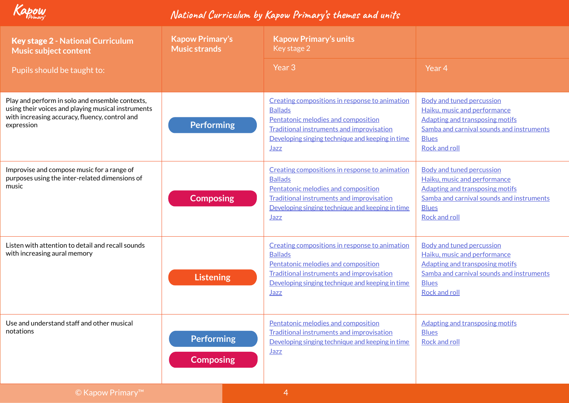

| <b>Key stage 2 - National Curriculum</b><br><b>Music subject content</b>                                                                                              | <b>Kapow Primary's</b><br><b>Music strands</b> | <b>Kapow Primary's units</b><br>Key stage 2                                                                                                                                                                                    |                                                                                                                                                                                                 |
|-----------------------------------------------------------------------------------------------------------------------------------------------------------------------|------------------------------------------------|--------------------------------------------------------------------------------------------------------------------------------------------------------------------------------------------------------------------------------|-------------------------------------------------------------------------------------------------------------------------------------------------------------------------------------------------|
| Pupils should be taught to:                                                                                                                                           |                                                | Year <sub>3</sub>                                                                                                                                                                                                              | Year 4                                                                                                                                                                                          |
| Play and perform in solo and ensemble contexts,<br>using their voices and playing musical instruments<br>with increasing accuracy, fluency, control and<br>expression | <b>Performing</b>                              | Creating compositions in response to animation<br><b>Ballads</b><br>Pentatonic melodies and composition<br><b>Traditional instruments and improvisation</b><br>Developing singing technique and keeping in time<br><b>Jazz</b> | <b>Body and tuned percussion</b><br>Haiku, music and performance<br><b>Adapting and transposing motifs</b><br>Samba and carnival sounds and instruments<br><b>Blues</b><br>Rock and roll        |
| Improvise and compose music for a range of<br>purposes using the inter-related dimensions of<br>music                                                                 | <b>Composing</b>                               | Creating compositions in response to animation<br><b>Ballads</b><br>Pentatonic melodies and composition<br><b>Traditional instruments and improvisation</b><br>Developing singing technique and keeping in time<br><b>Jazz</b> | <b>Body and tuned percussion</b><br>Haiku, music and performance<br><b>Adapting and transposing motifs</b><br>Samba and carnival sounds and instruments<br><b>Blues</b><br><b>Rock and roll</b> |
| Listen with attention to detail and recall sounds<br>with increasing aural memory                                                                                     | <b>Listening</b>                               | Creating compositions in response to animation<br><b>Ballads</b><br>Pentatonic melodies and composition<br><b>Traditional instruments and improvisation</b><br>Developing singing technique and keeping in time<br>Jazz        | <b>Body and tuned percussion</b><br>Haiku, music and performance<br><b>Adapting and transposing motifs</b><br>Samba and carnival sounds and instruments<br><b>Blues</b><br><b>Rock and roll</b> |
| Use and understand staff and other musical<br>notations                                                                                                               | <b>Performing</b><br><b>Composing</b>          | Pentatonic melodies and composition<br><b>Traditional instruments and improvisation</b><br>Developing singing technique and keeping in time<br><b>Jazz</b>                                                                     | <b>Adapting and transposing motifs</b><br><u>Blues</u><br><b>Rock and roll</b>                                                                                                                  |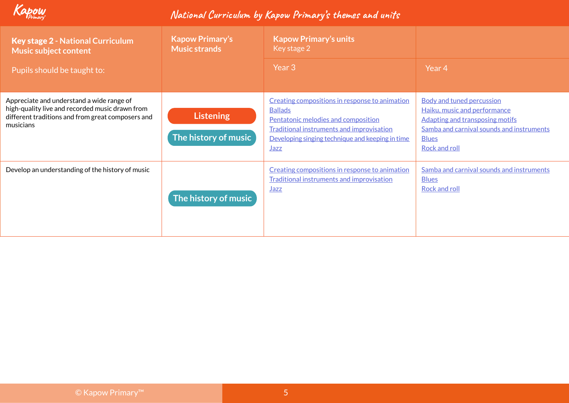

| <b>Key stage 2 - National Curriculum</b><br><b>Music subject content</b>                                                                                       | <b>Kapow Primary's</b><br><b>Music strands</b> | <b>Kapow Primary's units</b><br>Key stage 2                                                                                                                                                                      |                                                                                                                                                                                                 |
|----------------------------------------------------------------------------------------------------------------------------------------------------------------|------------------------------------------------|------------------------------------------------------------------------------------------------------------------------------------------------------------------------------------------------------------------|-------------------------------------------------------------------------------------------------------------------------------------------------------------------------------------------------|
| Pupils should be taught to:                                                                                                                                    |                                                | Year 3                                                                                                                                                                                                           | Year 4                                                                                                                                                                                          |
| Appreciate and understand a wide range of<br>high-quality live and recorded music drawn from<br>different traditions and from great composers and<br>musicians | <b>Listening</b><br>The history of music       | Creating compositions in response to animation<br><b>Ballads</b><br>Pentatonic melodies and composition<br>Traditional instruments and improvisation<br>Developing singing technique and keeping in time<br>Jazz | <b>Body and tuned percussion</b><br>Haiku, music and performance<br><b>Adapting and transposing motifs</b><br>Samba and carnival sounds and instruments<br><b>Blues</b><br><b>Rock and roll</b> |
| Develop an understanding of the history of music                                                                                                               | The history of music                           | Creating compositions in response to animation<br><b>Traditional instruments and improvisation</b><br><b>Jazz</b>                                                                                                | Samba and carnival sounds and instruments<br><b>Blues</b><br><b>Rock and roll</b>                                                                                                               |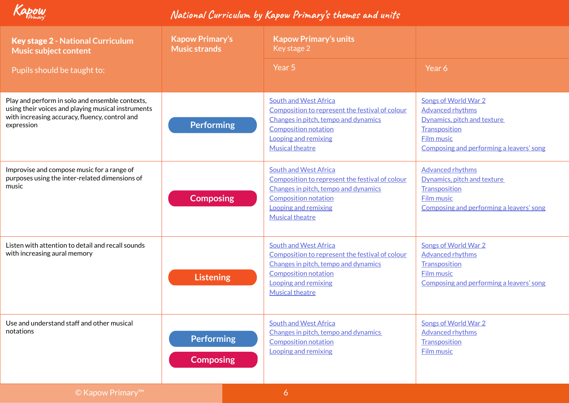

| <b>Key stage 2 - National Curriculum</b><br><b>Music subject content</b>                                                                                              | <b>Kapow Primary's</b><br><b>Music strands</b> | <b>Kapow Primary's units</b><br>Key stage 2                                                                                                                                                              |                                                                                                                                                                  |
|-----------------------------------------------------------------------------------------------------------------------------------------------------------------------|------------------------------------------------|----------------------------------------------------------------------------------------------------------------------------------------------------------------------------------------------------------|------------------------------------------------------------------------------------------------------------------------------------------------------------------|
| Pupils should be taught to:                                                                                                                                           |                                                | Year 5                                                                                                                                                                                                   | Year 6                                                                                                                                                           |
| Play and perform in solo and ensemble contexts,<br>using their voices and playing musical instruments<br>with increasing accuracy, fluency, control and<br>expression | <b>Performing</b>                              | <b>South and West Africa</b><br>Composition to represent the festival of colour<br>Changes in pitch, tempo and dynamics<br><b>Composition notation</b><br>Looping and remixing<br><b>Musical theatre</b> | Songs of World War 2<br><b>Advanced rhythms</b><br>Dynamics, pitch and texture<br>Transposition<br><b>Film music</b><br>Composing and performing a leavers' song |
| Improvise and compose music for a range of<br>purposes using the inter-related dimensions of<br>music                                                                 | <b>Composing</b>                               | <b>South and West Africa</b><br>Composition to represent the festival of colour<br>Changes in pitch, tempo and dynamics<br><b>Composition notation</b><br>Looping and remixing<br><b>Musical theatre</b> | <b>Advanced rhythms</b><br>Dynamics, pitch and texture<br>Transposition<br><b>Film music</b><br>Composing and performing a leavers' song                         |
| Listen with attention to detail and recall sounds<br>with increasing aural memory                                                                                     | <b>Listening</b>                               | <b>South and West Africa</b><br>Composition to represent the festival of colour<br>Changes in pitch, tempo and dynamics<br><b>Composition notation</b><br>Looping and remixing<br><b>Musical theatre</b> | Songs of World War 2<br><b>Advanced rhythms</b><br>Transposition<br><b>Film music</b><br>Composing and performing a leavers' song                                |
| Use and understand staff and other musical<br>notations                                                                                                               | <b>Performing</b><br><b>Composing</b>          | <b>South and West Africa</b><br>Changes in pitch, tempo and dynamics<br><b>Composition notation</b><br>Looping and remixing                                                                              | Songs of World War 2<br><b>Advanced rhythms</b><br>Transposition<br><b>Film music</b>                                                                            |
| © Kapow Primary™                                                                                                                                                      |                                                | $\overline{6}$                                                                                                                                                                                           |                                                                                                                                                                  |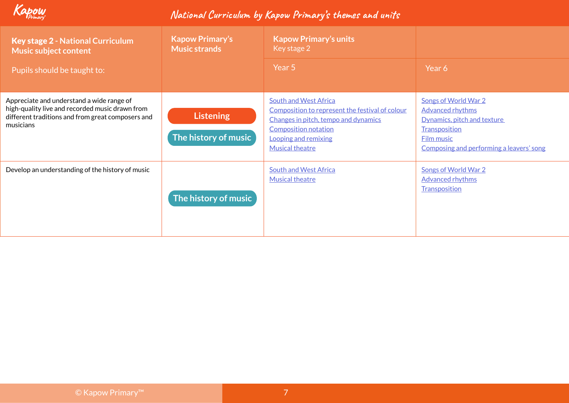

| <b>Key stage 2 - National Curriculum</b><br><b>Music subject content</b>                                                                                       | <b>Kapow Primary's</b><br><b>Music strands</b> | <b>Kapow Primary's units</b><br>Key stage 2                                                                                                                                                              |                                                                                                                                                                  |
|----------------------------------------------------------------------------------------------------------------------------------------------------------------|------------------------------------------------|----------------------------------------------------------------------------------------------------------------------------------------------------------------------------------------------------------|------------------------------------------------------------------------------------------------------------------------------------------------------------------|
| Pupils should be taught to:                                                                                                                                    |                                                | Year 5                                                                                                                                                                                                   | Year 6                                                                                                                                                           |
| Appreciate and understand a wide range of<br>high-quality live and recorded music drawn from<br>different traditions and from great composers and<br>musicians | <b>Listening</b><br>The history of music       | <b>South and West Africa</b><br>Composition to represent the festival of colour<br>Changes in pitch, tempo and dynamics<br><b>Composition notation</b><br>Looping and remixing<br><b>Musical theatre</b> | Songs of World War 2<br><b>Advanced rhythms</b><br>Dynamics, pitch and texture<br>Transposition<br><b>Film music</b><br>Composing and performing a leavers' song |
| Develop an understanding of the history of music                                                                                                               | The history of music                           | <b>South and West Africa</b><br><b>Musical theatre</b>                                                                                                                                                   | <b>Songs of World War 2</b><br><b>Advanced rhythms</b><br>Transposition                                                                                          |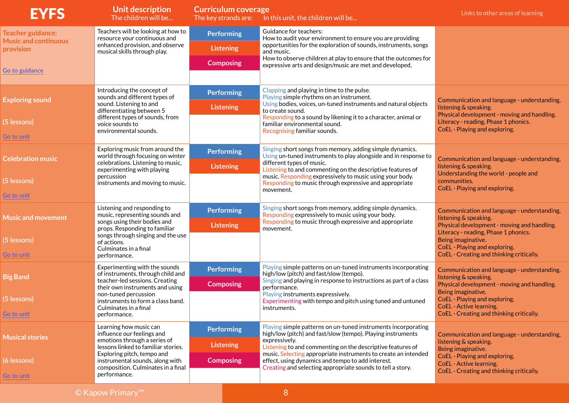| <b>EYFS</b>                                                                            | Unit description<br>The children will be                                                                                                                                                                                                           | <b>Curriculum coverage</b><br>The key strands are:        | In this unit, the children will be                                                                                                                                                                                                                                                                                                                                                               | Links to other areas of learning                                                                                                                                                                                                                               |
|----------------------------------------------------------------------------------------|----------------------------------------------------------------------------------------------------------------------------------------------------------------------------------------------------------------------------------------------------|-----------------------------------------------------------|--------------------------------------------------------------------------------------------------------------------------------------------------------------------------------------------------------------------------------------------------------------------------------------------------------------------------------------------------------------------------------------------------|----------------------------------------------------------------------------------------------------------------------------------------------------------------------------------------------------------------------------------------------------------------|
| <b>Teacher guidance:</b><br><b>Music and continuous</b><br>provision<br>Go to guidance | Teachers will be looking at how to<br>resource your continuous and<br>enhanced provision, and observe<br>musical skills through play.                                                                                                              | <b>Performing</b><br><b>Listening</b><br><b>Composing</b> | Guidance for teachers:<br>How to audit your environment to ensure you are providing<br>opportunities for the exploration of sounds, instruments, songs<br>and music.<br>How to observe children at play to ensure that the outcomes for<br>expressive arts and design/music are met and developed.                                                                                               |                                                                                                                                                                                                                                                                |
| <b>Exploring sound</b><br>(5 lessons)<br>Go to unit                                    | Introducing the concept of<br>sounds and different types of<br>sound. Listening to and<br>differentiating between 5<br>different types of sounds, from<br>voice sounds to<br>environmental sounds.                                                 | <b>Performing</b><br><b>Listening</b>                     | Clapping and playing in time to the pulse.<br>Playing simple rhythms on an instrument.<br>Using bodies, voices, un-tuned instruments and natural objects<br>to create sound.<br>Responding to a sound by likening it to a character, animal or<br>familiar environmental sound.<br>Recognising familiar sounds.                                                                                  | Communication and language - understanding,<br>listening & speaking.<br>Physical development - moving and handling.<br>Literacy - reading, Phase 1 phonics.<br>CoEL - Playing and exploring.                                                                   |
| <b>Celebration music</b><br>(5 lessons)<br>Go to unit                                  | Exploring music from around the<br>world through focusing on winter<br>celebrations. Listening to music,<br>experimenting with playing<br>percussion<br>instruments and moving to music.                                                           | <b>Performing</b><br><b>Listening</b>                     | Singing short songs from memory, adding simple dynamics.<br>Using un-tuned instruments to play alongside and in response to<br>different types of music.<br>Listening to and commenting on the descriptive features of<br>music. Responding expressively to music using your body.<br>Responding to music through expressive and appropriate<br>movement.                                        | Communication and language - understanding,<br>listening & speaking.<br>Understanding the world - people and<br>communities.<br>CoEL - Playing and exploring.                                                                                                  |
| <b>Music and movement</b><br>(5 lessons)<br>Go to unit                                 | Listening and responding to<br>music, representing sounds and<br>songs using their bodies and<br>props. Responding to familiar<br>songs through singing and the use<br>of actions.<br>Culminates in a final<br>performance.                        | <b>Performing</b><br><b>Listening</b>                     | Singing short songs from memory, adding simple dynamics.<br>Responding expressively to music using your body.<br>Responding to music through expressive and appropriate<br>movement.                                                                                                                                                                                                             | Communication and language - understanding,<br>listening & speaking.<br>Physical development - moving and handling.<br>Literacy - reading, Phase 1 phonics.<br>Being imaginative.<br>CoEL - Playing and exploring.<br>CoEL - Creating and thinking critically. |
| <b>Big Band</b><br>(5 lessons)<br>Go to unit                                           | Experimenting with the sounds<br>of instruments, through child and<br>teacher-led sessions. Creating<br>their own instruments and using<br>non-tuned percussion<br>instruments to form a class band.<br>Culminates in a final<br>performance.      | Performing<br><b>Composing</b>                            | Playing simple patterns on un-tuned instruments incorporating<br>high/low (pitch) and fast/slow (tempo).<br>Singing and playing in response to instructions as part of a class<br>performance.<br>Playing instruments expressively.<br>Experimenting with tempo and pitch using tuned and untuned<br>instruments.                                                                                | Communication and language - understanding,<br>listening & speaking.<br>Physical development - moving and handling.<br>Being imaginative.<br>CoEL - Playing and exploring.<br>CoEL - Active learning.<br>CoEL - Creating and thinking critically.              |
| <b>Musical stories</b><br>(6 lessons)<br>Go to unit                                    | Learning how music can<br>influence our feelings and<br>emotions through a series of<br>lessons linked to familiar stories.<br>Exploring pitch, tempo and<br>instrumental sounds, along with<br>composition. Culminates in a final<br>performance. | <b>Performing</b><br><b>Listening</b><br><b>Composing</b> | Playing simple patterns on un-tuned instruments incorporating<br>high/low (pitch) and fast/slow (tempo). Playing instruments<br>expressively.<br>Listening to and commenting on the descriptive features of<br>music. Selecting appropriate instruments to create an intended<br>effect, using dynamics and tempo to add interest.<br>Creating and selecting appropriate sounds to tell a story. | Communication and language - understanding,<br>listening & speaking.<br>Being imaginative.<br>CoEL - Playing and exploring.<br>CoEL - Active learning.<br>CoEL - Creating and thinking critically.                                                             |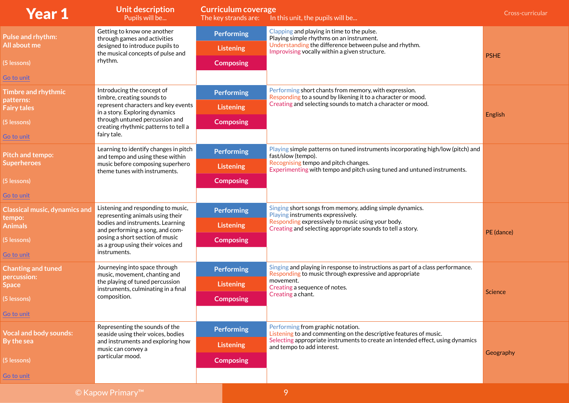| <b>Year 1</b>                        | <b>Unit description</b><br>Pupils will be                                                                                                      | <b>Curriculum coverage</b><br>The key strands are: | In this unit, the pupils will be                                                                                                                                                                                 | Cross-curricular |
|--------------------------------------|------------------------------------------------------------------------------------------------------------------------------------------------|----------------------------------------------------|------------------------------------------------------------------------------------------------------------------------------------------------------------------------------------------------------------------|------------------|
| <b>Pulse and rhythm:</b>             | Getting to know one another<br>through games and activities                                                                                    | <b>Performing</b>                                  | Clapping and playing in time to the pulse.<br>Playing simple rhythms on an instrument.                                                                                                                           |                  |
| All about me                         | designed to introduce pupils to<br>the musical concepts of pulse and                                                                           | <b>Listening</b>                                   | Understanding the difference between pulse and rhythm.<br>Improvising vocally within a given structure.                                                                                                          |                  |
| (5 lessons)                          | rhythm.                                                                                                                                        | <b>Composing</b>                                   |                                                                                                                                                                                                                  | <b>PSHE</b>      |
| Go to unit                           |                                                                                                                                                |                                                    |                                                                                                                                                                                                                  |                  |
| <b>Timbre and rhythmic</b>           | Introducing the concept of<br>timbre, creating sounds to                                                                                       | <b>Performing</b>                                  | Performing short chants from memory, with expression.<br>Responding to a sound by likening it to a character or mood.                                                                                            |                  |
| patterns:<br><b>Fairy tales</b>      | represent characters and key events<br>in a story. Exploring dynamics                                                                          | <b>Listening</b>                                   | Creating and selecting sounds to match a character or mood.                                                                                                                                                      |                  |
| (5 lessons)                          | through untuned percussion and<br>creating rhythmic patterns to tell a                                                                         | <b>Composing</b>                                   |                                                                                                                                                                                                                  | English          |
| Go to unit                           | fairy tale.                                                                                                                                    |                                                    |                                                                                                                                                                                                                  |                  |
| <b>Pitch and tempo:</b>              | Learning to identify changes in pitch<br>and tempo and using these within<br>music before composing superhero<br>theme tunes with instruments. | <b>Performing</b>                                  | Playing simple patterns on tuned instruments incorporating high/low (pitch) and<br>fast/slow (tempo).                                                                                                            |                  |
| <b>Superheroes</b>                   |                                                                                                                                                | <b>Listening</b>                                   | Recognising tempo and pitch changes.<br>Experimenting with tempo and pitch using tuned and untuned instruments.                                                                                                  |                  |
| (5 lessons)                          |                                                                                                                                                | <b>Composing</b>                                   |                                                                                                                                                                                                                  |                  |
| Go to unit                           |                                                                                                                                                |                                                    |                                                                                                                                                                                                                  |                  |
| <b>Classical music, dynamics and</b> | Listening and responding to music,<br>representing animals using their                                                                         | <b>Performing</b>                                  | Singing short songs from memory, adding simple dynamics.<br>Playing instruments expressively.<br>Responding expressively to music using your body.<br>Creating and selecting appropriate sounds to tell a story. |                  |
| tempo:<br><b>Animals</b>             | bodies and instruments. Learning<br>and performing a song, and com-                                                                            | <b>Listening</b>                                   |                                                                                                                                                                                                                  | PE (dance)       |
| (5 lessons)                          | posing a short section of music<br>as a group using their voices and                                                                           | <b>Composing</b>                                   |                                                                                                                                                                                                                  |                  |
| Go to unit                           | instruments.                                                                                                                                   |                                                    |                                                                                                                                                                                                                  |                  |
| <b>Chanting and tuned</b>            | Journeying into space through<br>music, movement, chanting and                                                                                 | <b>Performing</b>                                  | Singing and playing in response to instructions as part of a class performance.<br>Responding to music through expressive and appropriate                                                                        |                  |
| percussion:<br><b>Space</b>          | the playing of tuned percussion<br>instruments, culminating in a final                                                                         | <b>Listening</b>                                   | movement.<br>Creating a sequence of notes.                                                                                                                                                                       |                  |
| (5 lessons)                          | composition.                                                                                                                                   | <b>Composing</b>                                   | Creating a chant.                                                                                                                                                                                                | Science          |
| Go to unit                           |                                                                                                                                                |                                                    |                                                                                                                                                                                                                  |                  |
| <b>Vocal and body sounds:</b>        | Representing the sounds of the<br>seaside using their voices, bodies                                                                           | <b>Performing</b>                                  | Performing from graphic notation.<br>Listening to and commenting on the descriptive features of music.                                                                                                           |                  |
| By the sea                           | and instruments and exploring how<br>music can convey a                                                                                        | <b>Listening</b>                                   | Selecting appropriate instruments to create an intended effect, using dynamics<br>and tempo to add interest.                                                                                                     |                  |
| (5 lessons)                          | particular mood.                                                                                                                               | <b>Composing</b>                                   |                                                                                                                                                                                                                  | Geography        |
| Go to unit                           |                                                                                                                                                |                                                    |                                                                                                                                                                                                                  |                  |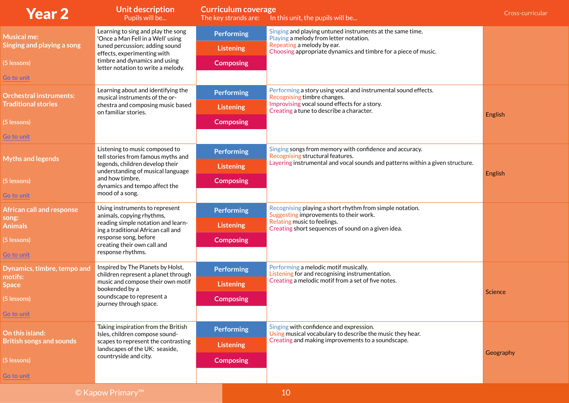| <b>Year 2</b>                          | <b>Unit description</b><br>Pupils will be                                | <b>Curriculum coverage</b><br>The key strands are: | In this unit, the pupils will be                                                                                                                                                        | Cross-curricular |
|----------------------------------------|--------------------------------------------------------------------------|----------------------------------------------------|-----------------------------------------------------------------------------------------------------------------------------------------------------------------------------------------|------------------|
| <b>Musical me:</b>                     | Learning to sing and play the song<br>'Once a Man Fell in a Well' using  | <b>Performing</b>                                  | Singing and playing untuned instruments at the same time.<br>Playing a melody from letter notation.                                                                                     |                  |
| Singing and playing a song             | tuned percussion; adding sound<br>effects, experimenting with            | <b>Listening</b>                                   | Repeating a melody by ear.<br>Choosing appropriate dynamics and timbre for a piece of music.                                                                                            |                  |
| (5 lessons)                            | timbre and dynamics and using<br>letter notation to write a melody.      | <b>Composing</b>                                   |                                                                                                                                                                                         |                  |
| Go to unit                             |                                                                          |                                                    |                                                                                                                                                                                         |                  |
| <b>Orchestral instruments:</b>         | Learning about and identifying the<br>musical instruments of the or-     | <b>Performing</b>                                  | Performing a story using vocal and instrumental sound effects.<br>Recognising timbre changes.                                                                                           |                  |
| <b>Traditional stories</b>             | chestra and composing music based<br>on familiar stories.                | <b>Listening</b>                                   | Improvising vocal sound effects for a story.<br>Creating a tune to describe a character.                                                                                                |                  |
| (5 lessons)                            |                                                                          | <b>Composing</b>                                   |                                                                                                                                                                                         | English          |
| Go to unit                             |                                                                          |                                                    |                                                                                                                                                                                         |                  |
|                                        | Listening to music composed to<br>tell stories from famous myths and     | <b>Performing</b>                                  | Singing songs from memory with confidence and accuracy.<br>Recognising structural features.                                                                                             |                  |
| <b>Myths and legends</b>               | legends, children develop their<br>understanding of musical language     | <b>Listening</b>                                   | Layering instrumental and vocal sounds and patterns within a given structure.                                                                                                           | English          |
| (5 lessons)                            | and how timbre,<br>dynamics and tempo affect the<br>mood of a song.      | <b>Composing</b>                                   |                                                                                                                                                                                         |                  |
| Go to unit                             |                                                                          |                                                    |                                                                                                                                                                                         |                  |
| <b>African call and response</b>       | Using instruments to represent<br>animals, copying rhythms,              | <b>Performing</b>                                  | Recognising playing a short rhythm from simple notation.<br>Suggesting improvements to their work.<br>Relating music to feelings.<br>Creating short sequences of sound on a given idea. |                  |
| song:<br><b>Animals</b>                | reading simple notation and learn-<br>ing a traditional African call and | <b>Listening</b>                                   |                                                                                                                                                                                         |                  |
| (5 lessons)                            | response song, before<br>creating their own call and                     | <b>Composing</b>                                   |                                                                                                                                                                                         |                  |
| Go to unit                             | response rhythms.                                                        |                                                    |                                                                                                                                                                                         |                  |
| Dynamics, timbre, tempo and<br>motifs: | Inspired by The Planets by Holst,<br>children represent a planet through | <b>Performing</b>                                  | Performing a melodic motif musically.<br>Listening for and recognising instrumentation.                                                                                                 |                  |
| <b>Space</b>                           | music and compose their own motif<br>bookended by a                      | <b>Listening</b>                                   | Creating a melodic motif from a set of five notes.                                                                                                                                      | Science          |
| (5 lessons)                            | soundscape to represent a<br>journey through space.                      | <b>Composing</b>                                   |                                                                                                                                                                                         |                  |
| Go to unit                             |                                                                          |                                                    |                                                                                                                                                                                         |                  |
| On this island:                        | Taking inspiration from the British<br>Isles, children compose sound-    | <b>Performing</b>                                  | Singing with confidence and expression.<br>Using musical vocabulary to describe the music they hear.<br>Creating and making improvements to a soundscape.                               |                  |
| <b>British songs and sounds</b>        | scapes to represent the contrasting<br>landscapes of the UK: seaside,    | <b>Listening</b>                                   |                                                                                                                                                                                         |                  |
| (5 lessons)                            | countryside and city.                                                    | <b>Composing</b>                                   |                                                                                                                                                                                         | Geography        |
| Go to unit                             |                                                                          |                                                    |                                                                                                                                                                                         |                  |
|                                        |                                                                          |                                                    |                                                                                                                                                                                         |                  |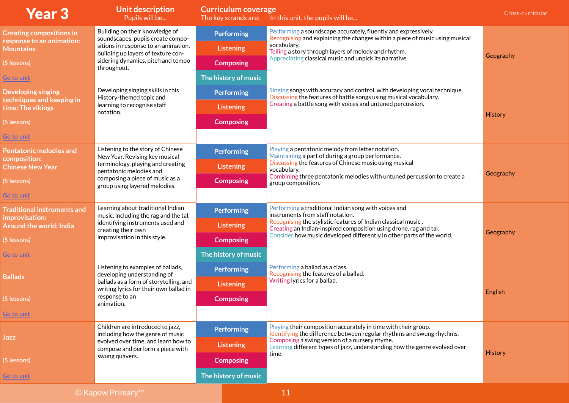| <b>Year 3</b>                                    | <b>Unit description</b><br>Pupils will be                                                 | <b>Curriculum coverage</b><br>The key strands are: | In this unit, the pupils will be                                                                                                                                                                            | Cross-curricular |
|--------------------------------------------------|-------------------------------------------------------------------------------------------|----------------------------------------------------|-------------------------------------------------------------------------------------------------------------------------------------------------------------------------------------------------------------|------------------|
| <b>Creating compositions in</b>                  | Building on their knowledge of<br>soundscapes, pupils create compo-                       | <b>Performing</b>                                  | Performing a soundscape accurately, fluently and expressively.<br>Recognising and explaining the changes within a piece of music using musical                                                              |                  |
| response to an animation:<br><b>Mountains</b>    | sitions in response to an animation,<br>building up layers of texture con-                | <b>Listening</b>                                   | vocabulary.<br>Telling a story through layers of melody and rhythm.                                                                                                                                         |                  |
| (5 lessons)                                      | sidering dynamics, pitch and tempo<br>throughout.                                         | <b>Composing</b>                                   | Appreciating classical music and unpick its narrative.                                                                                                                                                      | Geography        |
| Go to unit                                       |                                                                                           | The history of music                               |                                                                                                                                                                                                             |                  |
| <b>Developing singing</b>                        | Developing singing skills in this<br>History-themed topic and                             | <b>Performing</b>                                  | Singing songs with accuracy and control, with developing vocal technique.<br>Discussing the features of battle songs using musical vocabulary.                                                              |                  |
| techniques and keeping in<br>time: The vikings   | learning to recognise staff<br>notation.                                                  | <b>Listening</b>                                   | Creating a battle song with voices and untuned percussion.                                                                                                                                                  |                  |
| (5 lessons)                                      |                                                                                           | <b>Composing</b>                                   |                                                                                                                                                                                                             | <b>History</b>   |
| Go to unit                                       |                                                                                           |                                                    |                                                                                                                                                                                                             |                  |
| <b>Pentatonic melodies and</b>                   | Listening to the story of Chinese<br>New Year. Revising key musical                       | <b>Performing</b>                                  | Playing a pentatonic melody from letter notation.<br>Maintaining a part of during a group performance.                                                                                                      |                  |
| composition:<br><b>Chinese New Year</b>          | terminology, playing and creating<br>pentatonic melodies and                              | <b>Listening</b>                                   | Discussing the features of Chinese music using musical<br>vocabulary.<br>Combining three pentatonic melodies with untuned percussion to create a<br>group composition.                                      | Geography        |
| (5 lessons)                                      | composing a piece of music as a<br>group using layered melodies.                          | <b>Composing</b>                                   |                                                                                                                                                                                                             |                  |
| Go to unit                                       |                                                                                           |                                                    |                                                                                                                                                                                                             |                  |
| <b>Traditional instruments and</b>               | Learning about traditional Indian<br>music, including the rag and the tal,                | <b>Performing</b>                                  | Performing a traditional Indian song with voices and<br>instruments from staff notation.                                                                                                                    |                  |
| improvisation:<br><b>Around the world: India</b> | identifying instruments used and<br>creating their own                                    | <b>Listening</b>                                   | Recognising the stylistic features of Indian classical music.<br>Creating an Indian-inspired composition using drone, rag and tal.<br>Consider how music developed differently in other parts of the world. | Geography        |
| (5 lessons)                                      | improvisation in this style.                                                              | <b>Composing</b>                                   |                                                                                                                                                                                                             |                  |
| Go to unit                                       |                                                                                           | The history of music                               |                                                                                                                                                                                                             |                  |
| <b>Ballads</b>                                   | Listening to examples of ballads,<br>developing understanding of                          | <b>Performing</b>                                  | Performing a ballad as a class.<br>Recognising the features of a ballad.                                                                                                                                    |                  |
|                                                  | ballads as a form of storytelling, and<br>writing lyrics for their own ballad in          | <b>Listening</b>                                   | Writing lyrics for a ballad.                                                                                                                                                                                | English          |
| (5 lessons)                                      | response to an<br>animation.                                                              | <b>Composing</b>                                   |                                                                                                                                                                                                             |                  |
| Go to unit                                       |                                                                                           |                                                    |                                                                                                                                                                                                             |                  |
|                                                  | Children are introduced to jazz,<br>including how the genre of music                      | <b>Performing</b>                                  | Playing their composition accurately in time with their group.<br>Identifying the difference between regular rhythms and swung rhythms.                                                                     |                  |
| Jazz                                             | evolved over time, and learn how to<br>compose and perform a piece with<br>swung quavers. | <b>Listening</b>                                   | Composing a swing version of a nursery rhyme.<br>Learning different types of jazz, understanding how the genre evolved over                                                                                 | <b>History</b>   |
| (5 lessons)                                      |                                                                                           | <b>Composing</b>                                   | time.                                                                                                                                                                                                       |                  |
| Go to unit                                       |                                                                                           | The history of music                               |                                                                                                                                                                                                             |                  |
|                                                  | © Kapow Primary™                                                                          |                                                    | 11                                                                                                                                                                                                          |                  |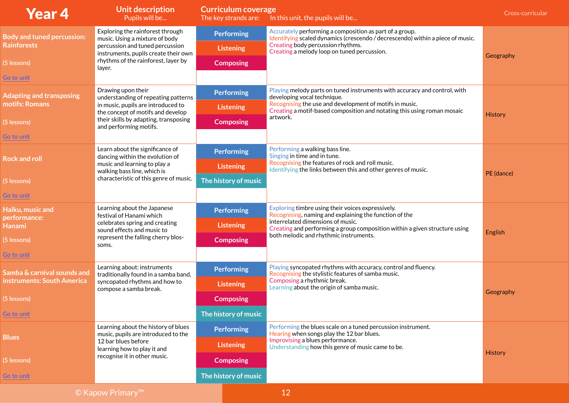| <b>Year 4</b>                     | <b>Unit description</b><br>Pupils will be                                  | <b>Curriculum coverage</b> | The key strands are: In this unit, the pupils will be                                                                                                     | Cross-curricular |
|-----------------------------------|----------------------------------------------------------------------------|----------------------------|-----------------------------------------------------------------------------------------------------------------------------------------------------------|------------------|
| <b>Body and tuned percussion:</b> | Exploring the rainforest through<br>music. Using a mixture of body         | <b>Performing</b>          | Accurately performing a composition as part of a group.<br>Identifying scaled dynamics (crescendo / decrescendo) within a piece of music.                 |                  |
| <b>Rainforests</b>                | percussion and tuned percussion<br>instruments, pupils create their own    | <b>Listening</b>           | Creating body percussion rhythms.<br>Creating a melody loop on tuned percussion.                                                                          |                  |
| (5 lessons)                       | rhythms of the rainforest, layer by<br>layer.                              | <b>Composing</b>           |                                                                                                                                                           | Geography        |
| Go to unit                        |                                                                            |                            |                                                                                                                                                           |                  |
| <b>Adapting and transposing</b>   | Drawing upon their<br>understanding of repeating patterns                  | <b>Performing</b>          | Playing melody parts on tuned instruments with accuracy and control, with<br>developing vocal technique.                                                  |                  |
| motifs: Romans                    | in music, pupils are introduced to<br>the concept of motifs and develop    | <b>Listening</b>           | Recognising the use and development of motifs in music.<br>Creating a motif-based composition and notating this using roman mosaic                        |                  |
| (5 lessons)                       | their skills by adapting, transposing<br>and performing motifs.            | <b>Composing</b>           | artwork.                                                                                                                                                  | History          |
| Go to unit                        |                                                                            |                            |                                                                                                                                                           |                  |
| <b>Rock and roll</b>              | Learn about the significance of<br>dancing within the evolution of         | <b>Performing</b>          | Performing a walking bass line.<br>Singing in time and in tune.                                                                                           |                  |
|                                   | music and learning to play a<br>walking bass line, which is                | <b>Listening</b>           | Recognising the features of rock and roll music.<br>Identifying the links between this and other genres of music.                                         | PE (dance)       |
| (5 lessons)                       | characteristic of this genre of music.                                     | The history of music       |                                                                                                                                                           |                  |
| Go to unit                        |                                                                            |                            |                                                                                                                                                           |                  |
| Haiku, music and<br>performance:  | Learning about the Japanese<br>festival of Hanami which                    | <b>Performing</b>          | Exploring timbre using their voices expressively.<br>Recognising, naming and explaining the function of the                                               |                  |
| Hanami                            | celebrates spring and creating<br>sound effects and music to               | <b>Listening</b>           | interrelated dimensions of music.<br>Creating and performing a group composition within a given structure using<br>both melodic and rhythmic instruments. | English          |
| (5 lessons)                       | represent the falling cherry blos-<br>soms.                                | <b>Composing</b>           |                                                                                                                                                           |                  |
| Go to unit                        |                                                                            |                            |                                                                                                                                                           |                  |
| Samba & carnival sounds and       | Learning about: instruments<br>traditionally found in a samba band,        | <b>Performing</b>          | Playing syncopated rhythms with accuracy, control and fluency.<br>Recognising the stylistic features of samba music.                                      |                  |
| instruments: South America        | syncopated rhythms and how to<br>compose a samba break.                    | <b>Listening</b>           | Composing a rhythmic break.<br>Learning about the origin of samba music.                                                                                  | Geography        |
| (5 lessons)                       |                                                                            | <b>Composing</b>           |                                                                                                                                                           |                  |
| Go to unit                        |                                                                            | The history of music       |                                                                                                                                                           |                  |
|                                   | Learning about the history of blues<br>music, pupils are introduced to the | <b>Performing</b>          | Performing the blues scale on a tuned percussion instrument.<br>Hearing when songs play the 12 bar blues.                                                 |                  |
| <b>Blues</b>                      | 12 bar blues before<br>learning how to play it and                         | <b>Listening</b>           | Improvising a blues performance.<br>Understanding how this genre of music came to be.                                                                     |                  |
| (5 lessons)                       | recognise it in other music.                                               | <b>Composing</b>           |                                                                                                                                                           | <b>History</b>   |
| Go to unit                        |                                                                            | The history of music       |                                                                                                                                                           |                  |
|                                   |                                                                            |                            |                                                                                                                                                           |                  |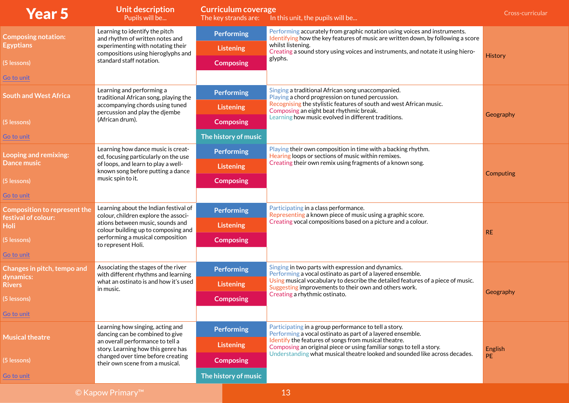| <b>Year 5</b>                                              | <b>Unit description</b><br>Pupils will be                                     | <b>Curriculum coverage</b><br>The key strands are: | In this unit, the pupils will be                                                                                                                              | Cross-curricular |
|------------------------------------------------------------|-------------------------------------------------------------------------------|----------------------------------------------------|---------------------------------------------------------------------------------------------------------------------------------------------------------------|------------------|
| <b>Composing notation:</b>                                 | Learning to identify the pitch<br>and rhythm of written notes and             | <b>Performing</b>                                  | Performing accurately from graphic notation using voices and instruments.<br>Identifying how the key features of music are written down, by following a score |                  |
| <b>Egyptians</b>                                           | experimenting with notating their<br>compositions using hieroglyphs and       | <b>Listening</b>                                   | whilst listening.<br>Creating a sound story using voices and instruments, and notate it using hiero-                                                          |                  |
| (5 lessons)                                                | standard staff notation.                                                      | <b>Composing</b>                                   | glyphs.                                                                                                                                                       | <b>History</b>   |
| Go to unit                                                 |                                                                               |                                                    |                                                                                                                                                               |                  |
| <b>South and West Africa</b>                               | Learning and performing a<br>traditional African song, playing the            | <b>Performing</b>                                  | Singing a traditional African song unaccompanied.<br>Playing a chord progression on tuned percussion.                                                         |                  |
|                                                            | accompanying chords using tuned<br>percussion and play the djembe             | <b>Listening</b>                                   | Recognising the stylistic features of south and west African music.<br>Composing an eight beat rhythmic break.                                                |                  |
| (5 lessons)                                                | (African drum).                                                               | <b>Composing</b>                                   | Learning how music evolved in different traditions.                                                                                                           | Geography        |
| Go to unit                                                 |                                                                               | The history of music                               |                                                                                                                                                               |                  |
| Looping and remixing:                                      | Learning how dance music is creat-<br>ed, focusing particularly on the use    | <b>Performing</b>                                  | Playing their own composition in time with a backing rhythm.<br>Hearing loops or sections of music within remixes.                                            |                  |
| <b>Dance music</b>                                         | of loops, and learn to play a well-<br>known song before putting a dance      | <b>Listening</b>                                   | Creating their own remix using fragments of a known song.                                                                                                     | Computing        |
| (5 lessons)                                                | music spin to it.                                                             | <b>Composing</b>                                   |                                                                                                                                                               |                  |
| Go to unit                                                 |                                                                               |                                                    |                                                                                                                                                               |                  |
| <b>Composition to represent the</b><br>festival of colour: | Learning about the Indian festival of<br>colour, children explore the associ- | <b>Performing</b>                                  | Participating in a class performance.<br>Representing a known piece of music using a graphic score.                                                           |                  |
| <b>Holi</b>                                                | ations between music, sounds and<br>colour building up to composing and       | <b>Listening</b>                                   | Creating vocal compositions based on a picture and a colour.                                                                                                  | <b>RE</b>        |
| (5 lessons)                                                | performing a musical composition<br>to represent Holi.                        | <b>Composing</b>                                   |                                                                                                                                                               |                  |
| Go to unit                                                 |                                                                               |                                                    |                                                                                                                                                               |                  |
| Changes in pitch, tempo and                                | Associating the stages of the river<br>with different rhythms and learning    | <b>Performing</b>                                  | Singing in two parts with expression and dynamics.<br>Performing a vocal ostinato as part of a layered ensemble.                                              |                  |
| dynamics:<br><b>Rivers</b>                                 | what an ostinato is and how it's used<br>in music.                            | <b>Listening</b>                                   | Using musical vocabulary to describe the detailed features of a piece of music.<br>Suggesting improvements to their own and others work.                      |                  |
| (5 lessons)                                                |                                                                               | <b>Composing</b>                                   | Creating a rhythmic ostinato.                                                                                                                                 | Geography        |
| Go to unit                                                 |                                                                               |                                                    |                                                                                                                                                               |                  |
|                                                            | Learning how singing, acting and<br>dancing can be combined to give           | <b>Performing</b>                                  | Participating in a group performance to tell a story.<br>Performing a vocal ostinato as part of a layered ensemble.                                           |                  |
| <b>Musical theatre</b>                                     | an overall performance to tell a<br>story. Learning how this genre has        | <b>Listening</b>                                   | Identify the features of songs from musical theatre.<br>Composing an original piece or using familiar songs to tell a story.                                  | English          |
| (5 lessons)                                                | changed over time before creating<br>their own scene from a musical.          | <b>Composing</b>                                   | Understanding what musical theatre looked and sounded like across decades.                                                                                    | <b>PE</b>        |
| Go to unit                                                 |                                                                               | The history of music                               |                                                                                                                                                               |                  |
|                                                            |                                                                               |                                                    |                                                                                                                                                               |                  |